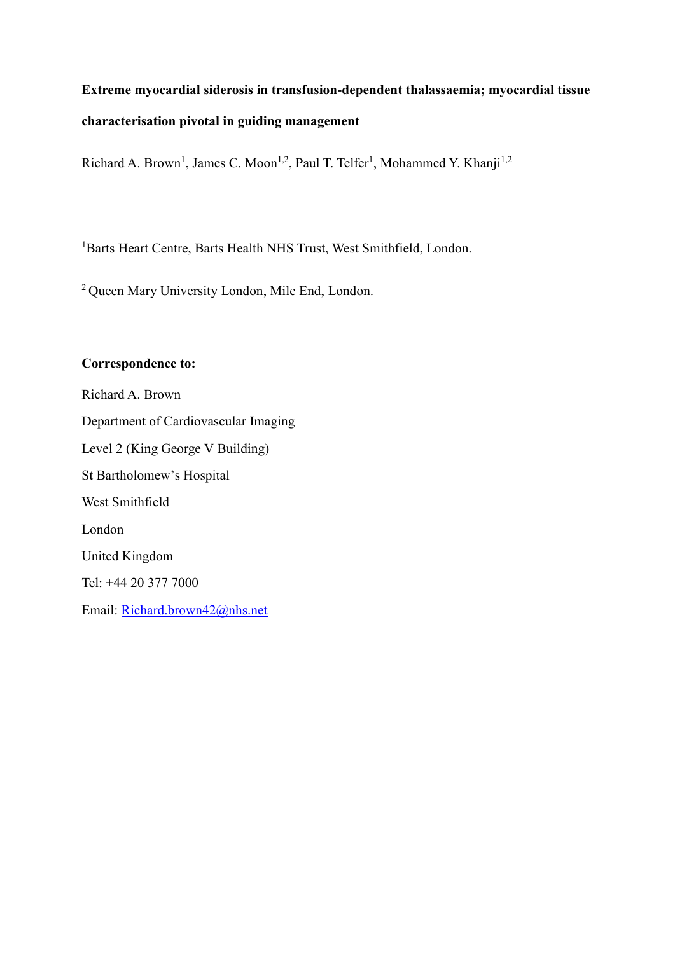## **Extreme myocardial siderosis in transfusion-dependent thalassaemia; myocardial tissue characterisation pivotal in guiding management**

Richard A. Brown<sup>1</sup>, James C. Moon<sup>1,2</sup>, Paul T. Telfer<sup>1</sup>, Mohammed Y. Khanji<sup>1,2</sup>

<sup>1</sup>Barts Heart Centre, Barts Health NHS Trust, West Smithfield, London.

<sup>2</sup> Queen Mary University London, Mile End, London.

## **Correspondence to:**

Richard A. Brown Department of Cardiovascular Imaging Level 2 (King George V Building) St Bartholomew's Hospital West Smithfield London United Kingdom Tel: +44 20 377 7000 Email: [Richard.brown42@nhs.net](mailto:Richard.brown42@nhs.net)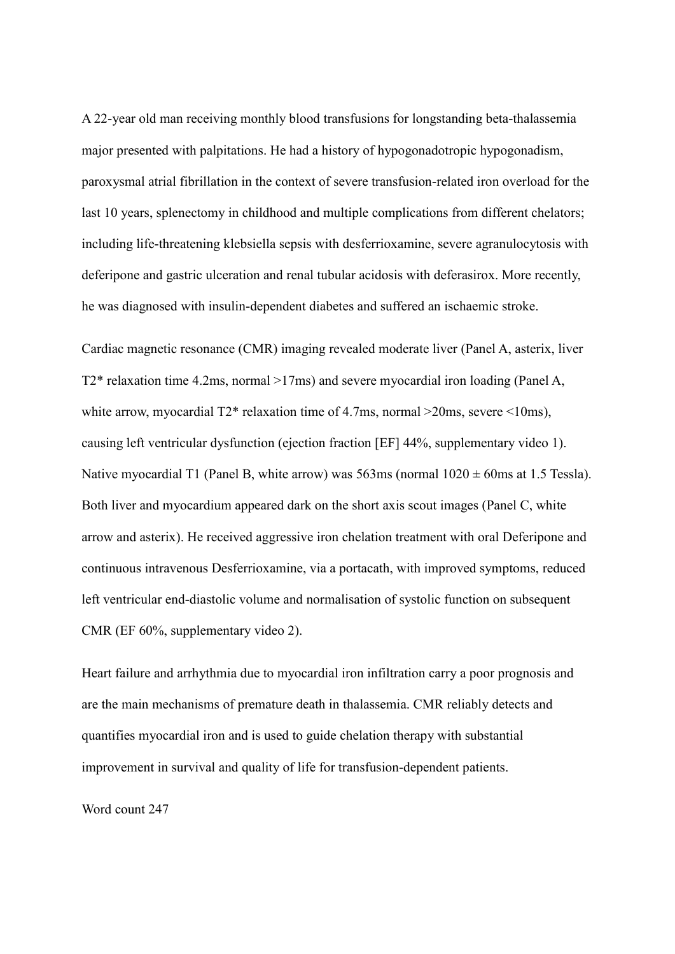A 22-year old man receiving monthly blood transfusions for longstanding beta-thalassemia major presented with palpitations. He had a history of hypogonadotropic hypogonadism, paroxysmal atrial fibrillation in the context of severe transfusion-related iron overload for the last 10 years, splenectomy in childhood and multiple complications from different chelators; including life-threatening klebsiella sepsis with desferrioxamine, severe agranulocytosis with deferipone and gastric ulceration and renal tubular acidosis with deferasirox. More recently, he was diagnosed with insulin-dependent diabetes and suffered an ischaemic stroke.

Cardiac magnetic resonance (CMR) imaging revealed moderate liver (Panel A, asterix, liver T2\* relaxation time 4.2ms, normal >17ms) and severe myocardial iron loading (Panel A, white arrow, myocardial T2\* relaxation time of 4.7ms, normal >20ms, severe <10ms), causing left ventricular dysfunction (ejection fraction [EF] 44%, supplementary video 1). Native myocardial T1 (Panel B, white arrow) was 563ms (normal  $1020 \pm 60$ ms at 1.5 Tessla). Both liver and myocardium appeared dark on the short axis scout images (Panel C, white arrow and asterix). He received aggressive iron chelation treatment with oral Deferipone and continuous intravenous Desferrioxamine, via a portacath, with improved symptoms, reduced left ventricular end-diastolic volume and normalisation of systolic function on subsequent CMR (EF 60%, supplementary video 2).

Heart failure and arrhythmia due to myocardial iron infiltration carry a poor prognosis and are the main mechanisms of premature death in thalassemia. CMR reliably detects and quantifies myocardial iron and is used to guide chelation therapy with substantial improvement in survival and quality of life for transfusion-dependent patients.

Word count 247